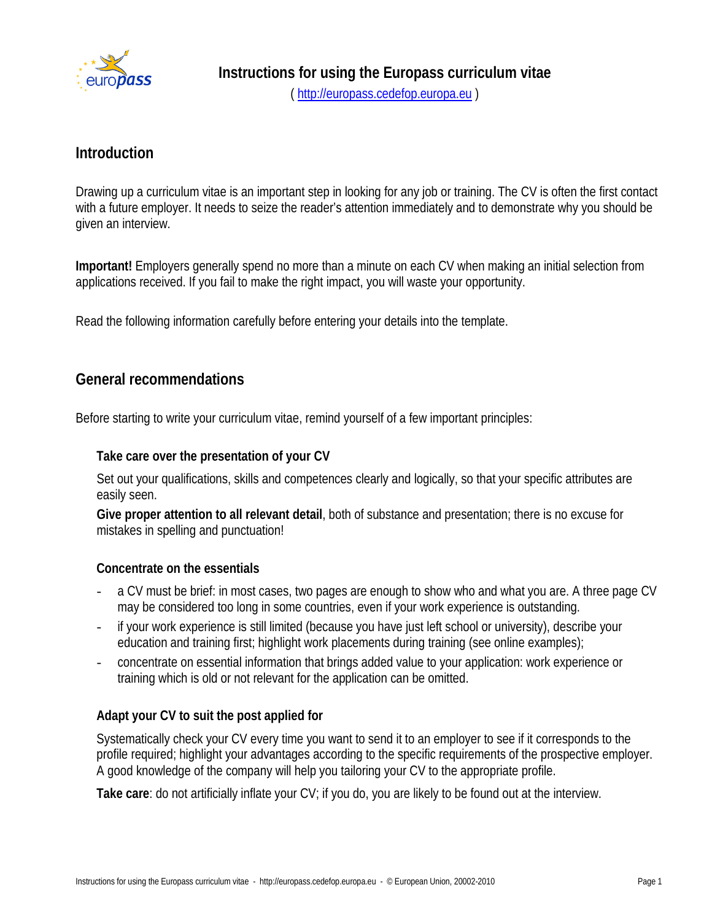

# **Introduction**

Drawing up a curriculum vitae is an important step in looking for any job or training. The CV is often the first contact with a future employer. It needs to seize the reader's attention immediately and to demonstrate why you should be given an interview.

**Important!** Employers generally spend no more than a minute on each CV when making an initial selection from applications received. If you fail to make the right impact, you will waste your opportunity.

Read the following information carefully before entering your details into the template.

# **General recommendations**

Before starting to write your curriculum vitae, remind yourself of a few important principles:

### **Take care over the presentation of your CV**

Set out your qualifications, skills and competences clearly and logically, so that your specific attributes are easily seen.

**Give proper attention to all relevant detail**, both of substance and presentation; there is no excuse for mistakes in spelling and punctuation!

## **Concentrate on the essentials**

- a CV must be brief: in most cases, two pages are enough to show who and what you are. A three page CV may be considered too long in some countries, even if your work experience is outstanding.
- if your work experience is still limited (because you have just left school or university), describe your education and training first; highlight work placements during training (see online examples);
- concentrate on essential information that brings added value to your application: work experience or training which is old or not relevant for the application can be omitted.

## **Adapt your CV to suit the post applied for**

Systematically check your CV every time you want to send it to an employer to see if it corresponds to the profile required; highlight your advantages according to the specific requirements of the prospective employer. A good knowledge of the company will help you tailoring your CV to the appropriate profile.

**Take care**: do not artificially inflate your CV; if you do, you are likely to be found out at the interview.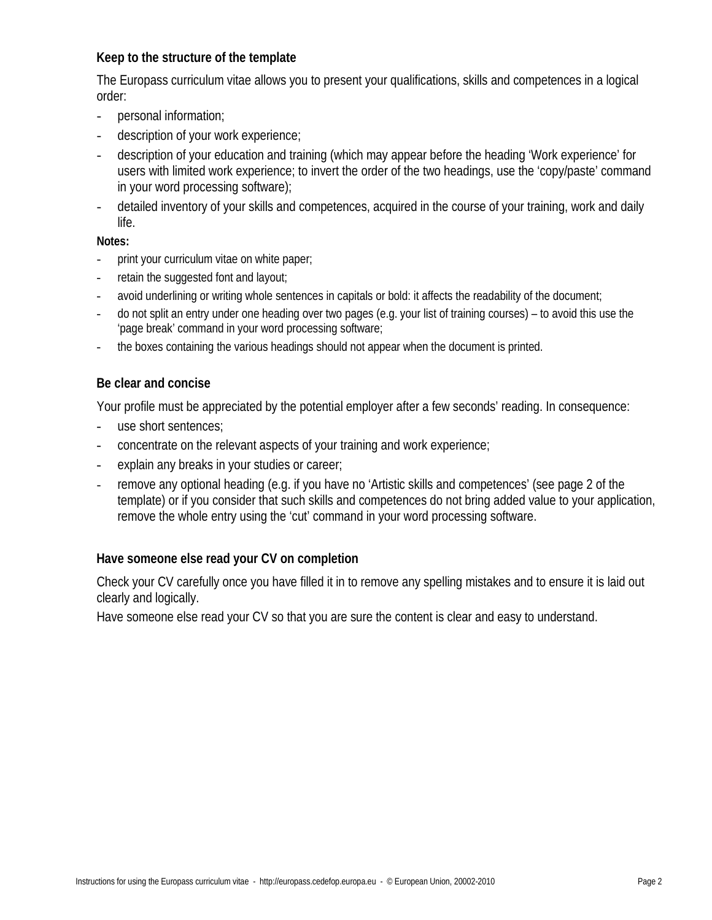## **Keep to the structure of the template**

The Europass curriculum vitae allows you to present your qualifications, skills and competences in a logical order:

- personal information;
- description of your work experience;
- description of your education and training (which may appear before the heading 'Work experience' for users with limited work experience; to invert the order of the two headings, use the 'copy/paste' command in your word processing software);
- detailed inventory of your skills and competences, acquired in the course of your training, work and daily life.

## **Notes:**

- print your curriculum vitae on white paper;
- retain the suggested font and layout;
- avoid underlining or writing whole sentences in capitals or bold: it affects the readability of the document;
- do not split an entry under one heading over two pages (e.g. your list of training courses) to avoid this use the 'page break' command in your word processing software;
- the boxes containing the various headings should not appear when the document is printed.

## **Be clear and concise**

Your profile must be appreciated by the potential employer after a few seconds' reading. In consequence:

- use short sentences;
- concentrate on the relevant aspects of your training and work experience;
- explain any breaks in your studies or career;
- remove any optional heading (e.g. if you have no 'Artistic skills and competences' (see page 2 of the template) or if you consider that such skills and competences do not bring added value to your application, remove the whole entry using the 'cut' command in your word processing software.

## **Have someone else read your CV on completion**

Check your CV carefully once you have filled it in to remove any spelling mistakes and to ensure it is laid out clearly and logically.

Have someone else read your CV so that you are sure the content is clear and easy to understand.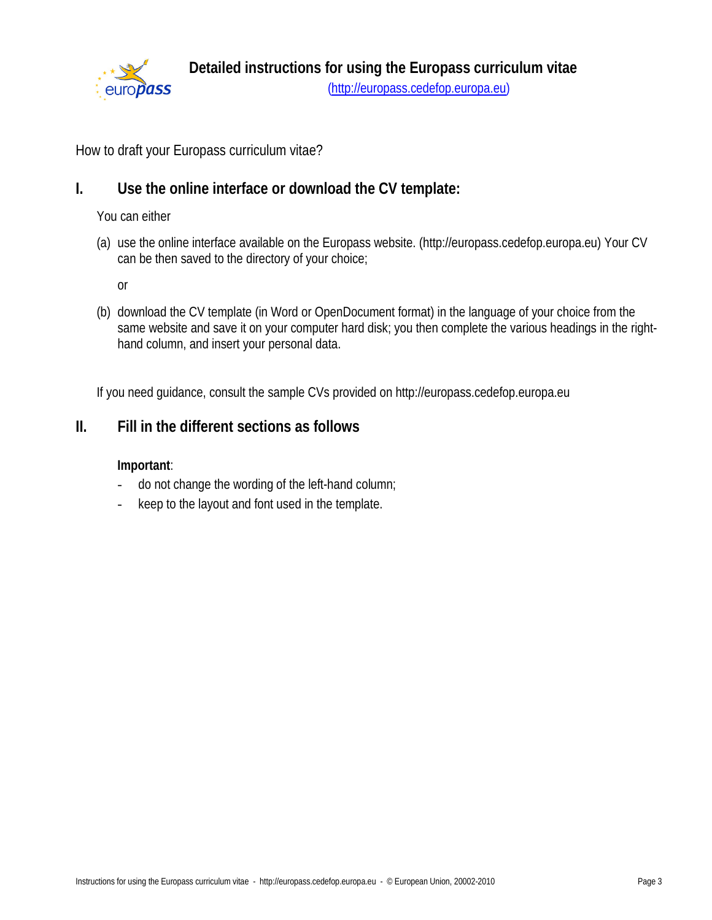

How to draft your Europass curriculum vitae?

# **I. Use the online interface or download the CV template:**

You can either

(a) use the online interface available on the Europass website. (http://europass.cedefop.europa.eu) Your CV can be then saved to the directory of your choice;

or

(b) download the CV template (in Word or OpenDocument format) in the language of your choice from the same website and save it on your computer hard disk; you then complete the various headings in the righthand column, and insert your personal data.

If you need guidance, consult the sample CVs provided on http://europass.cedefop.europa.eu

# **II. Fill in the different sections as follows**

# **Important**:

- do not change the wording of the left-hand column;
- keep to the layout and font used in the template.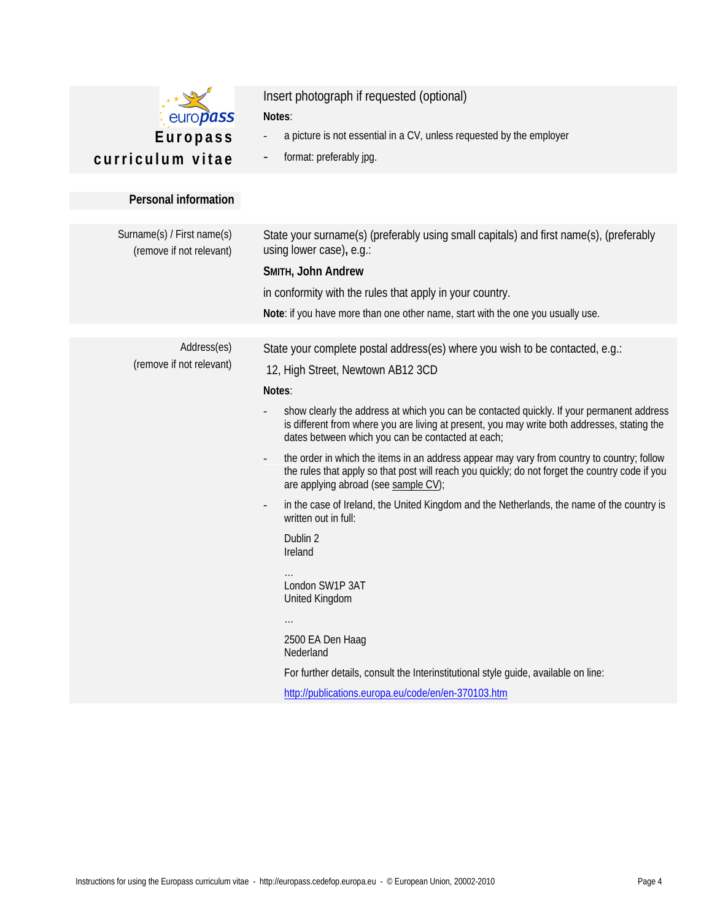| europass<br>Europass<br>curriculum vitae<br><b>Personal information</b> | Insert photograph if requested (optional)<br>Notes:<br>a picture is not essential in a CV, unless requested by the employer<br>format: preferably jpg.<br>$\overline{\phantom{0}}$                                                                                                                                                                                                                                                                                                                                                                                                                                                                                                                                                                                                                                                                                                                                                                                                      |
|-------------------------------------------------------------------------|-----------------------------------------------------------------------------------------------------------------------------------------------------------------------------------------------------------------------------------------------------------------------------------------------------------------------------------------------------------------------------------------------------------------------------------------------------------------------------------------------------------------------------------------------------------------------------------------------------------------------------------------------------------------------------------------------------------------------------------------------------------------------------------------------------------------------------------------------------------------------------------------------------------------------------------------------------------------------------------------|
| Surname(s) / First name(s)<br>(remove if not relevant)                  | State your surname(s) (preferably using small capitals) and first name(s), (preferably<br>using lower case), e.g.:<br>SMITH, John Andrew<br>in conformity with the rules that apply in your country.<br>Note: if you have more than one other name, start with the one you usually use.                                                                                                                                                                                                                                                                                                                                                                                                                                                                                                                                                                                                                                                                                                 |
| Address(es)<br>(remove if not relevant)                                 | State your complete postal address(es) where you wish to be contacted, e.g.:<br>12, High Street, Newtown AB12 3CD<br>Notes:<br>show clearly the address at which you can be contacted quickly. If your permanent address<br>is different from where you are living at present, you may write both addresses, stating the<br>dates between which you can be contacted at each;<br>the order in which the items in an address appear may vary from country to country; follow<br>the rules that apply so that post will reach you quickly; do not forget the country code if you<br>are applying abroad (see sample CV);<br>in the case of Ireland, the United Kingdom and the Netherlands, the name of the country is<br>written out in full:<br>Dublin 2<br>Ireland<br>London SW1P 3AT<br>United Kingdom<br>2500 EA Den Haag<br>Nederland<br>For further details, consult the Interinstitutional style guide, available on line:<br>http://publications.europa.eu/code/en/en-370103.htm |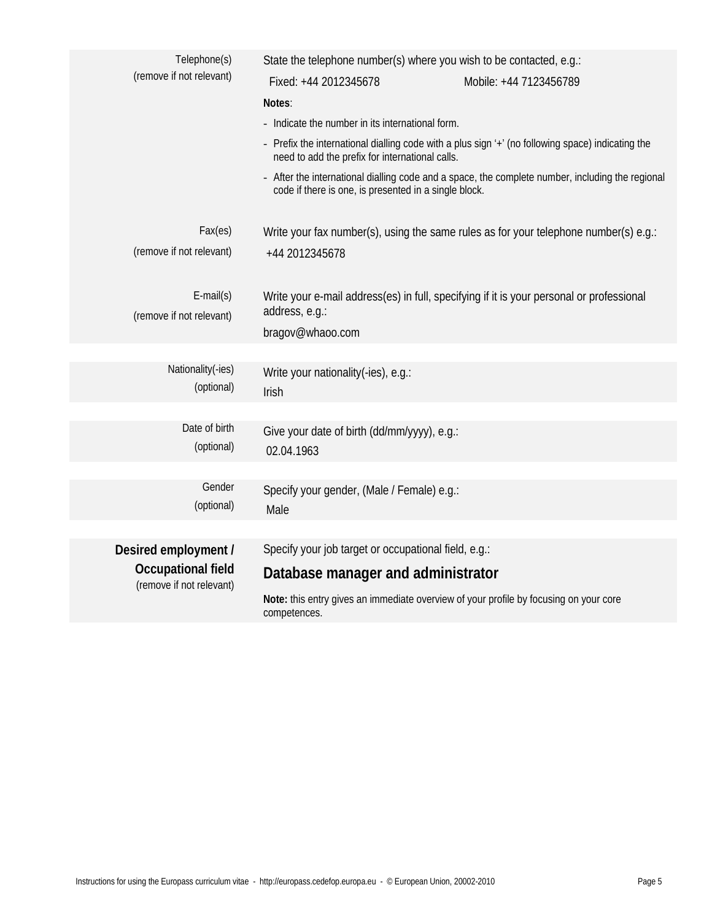| Telephone(s)<br>(remove if not relevant)                                      | State the telephone number(s) where you wish to be contacted, e.g.:<br>Fixed: +44 2012345678<br>Notes:<br>- Indicate the number in its international form.<br>need to add the prefix for international calls.<br>code if there is one, is presented in a single block. | Mobile: +44 7123456789<br>- Prefix the international dialling code with a plus sign '+' (no following space) indicating the<br>- After the international dialling code and a space, the complete number, including the regional |  |  |  |  |
|-------------------------------------------------------------------------------|------------------------------------------------------------------------------------------------------------------------------------------------------------------------------------------------------------------------------------------------------------------------|---------------------------------------------------------------------------------------------------------------------------------------------------------------------------------------------------------------------------------|--|--|--|--|
| Fax(es)<br>(remove if not relevant)                                           | +44 2012345678                                                                                                                                                                                                                                                         | Write your fax number(s), using the same rules as for your telephone number(s) e.g.:                                                                                                                                            |  |  |  |  |
| $E$ -mail $(s)$<br>(remove if not relevant)                                   | Write your e-mail address(es) in full, specifying if it is your personal or professional<br>address, e.g.:<br>bragov@whaoo.com                                                                                                                                         |                                                                                                                                                                                                                                 |  |  |  |  |
| Nationality(-ies)<br>(optional)                                               | Write your nationality(-ies), e.g.:<br>Irish                                                                                                                                                                                                                           |                                                                                                                                                                                                                                 |  |  |  |  |
| Date of birth<br>(optional)                                                   | Give your date of birth (dd/mm/yyyy), e.g.:<br>02.04.1963                                                                                                                                                                                                              |                                                                                                                                                                                                                                 |  |  |  |  |
| Gender<br>(optional)                                                          | Specify your gender, (Male / Female) e.g.:<br>Male                                                                                                                                                                                                                     |                                                                                                                                                                                                                                 |  |  |  |  |
| Desired employment /<br><b>Occupational field</b><br>(remove if not relevant) | Specify your job target or occupational field, e.g.:<br>Database manager and administrator<br>competences.                                                                                                                                                             | Note: this entry gives an immediate overview of your profile by focusing on your core                                                                                                                                           |  |  |  |  |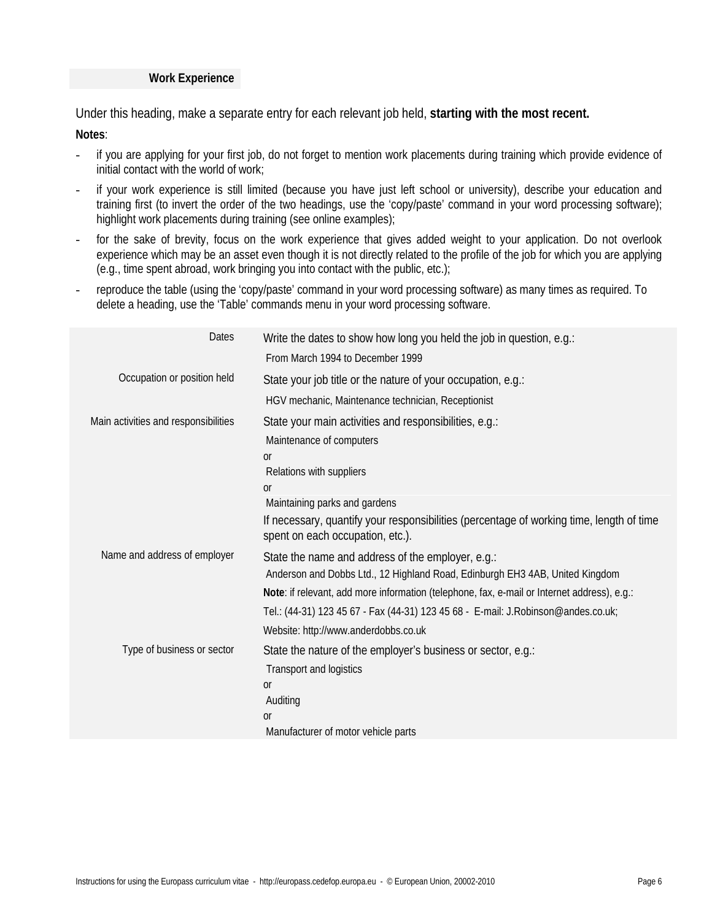#### **Work Experience**

Under this heading, make a separate entry for each relevant job held, **starting with the most recent.**

**Notes**:

- if you are applying for your first job, do not forget to mention work placements during training which provide evidence of initial contact with the world of work;
- if your work experience is still limited (because you have just left school or university), describe your education and training first (to invert the order of the two headings, use the 'copy/paste' command in your word processing software); highlight work placements during training (see online examples);
- for the sake of brevity, focus on the work experience that gives added weight to your application. Do not overlook experience which may be an asset even though it is not directly related to the profile of the job for which you are applying (e.g., time spent abroad, work bringing you into contact with the public, etc.);
- reproduce the table (using the 'copy/paste' command in your word processing software) as many times as required. To delete a heading, use the 'Table' commands menu in your word processing software.

| Dates                                | Write the dates to show how long you held the job in question, e.g.:<br>From March 1994 to December 1999                          |
|--------------------------------------|-----------------------------------------------------------------------------------------------------------------------------------|
| Occupation or position held          | State your job title or the nature of your occupation, e.g.:                                                                      |
|                                      | HGV mechanic, Maintenance technician, Receptionist                                                                                |
| Main activities and responsibilities | State your main activities and responsibilities, e.g.:<br>Maintenance of computers<br><sub>or</sub>                               |
|                                      | Relations with suppliers                                                                                                          |
|                                      | <sub>or</sub><br>Maintaining parks and gardens                                                                                    |
|                                      | If necessary, quantify your responsibilities (percentage of working time, length of time<br>spent on each occupation, etc.).      |
| Name and address of employer         | State the name and address of the employer, e.g.:<br>Anderson and Dobbs Ltd., 12 Highland Road, Edinburgh EH3 4AB, United Kingdom |
|                                      | Note: if relevant, add more information (telephone, fax, e-mail or Internet address), e.g.:                                       |
|                                      | Tel.: (44-31) 123 45 67 - Fax (44-31) 123 45 68 - E-mail: J.Robinson@andes.co.uk;<br>Website: http://www.anderdobbs.co.uk         |
| Type of business or sector           | State the nature of the employer's business or sector, e.g.:                                                                      |
|                                      | Transport and logistics                                                                                                           |
|                                      | <sub>or</sub>                                                                                                                     |
|                                      | Auditing                                                                                                                          |
|                                      | or                                                                                                                                |
|                                      | Manufacturer of motor vehicle parts                                                                                               |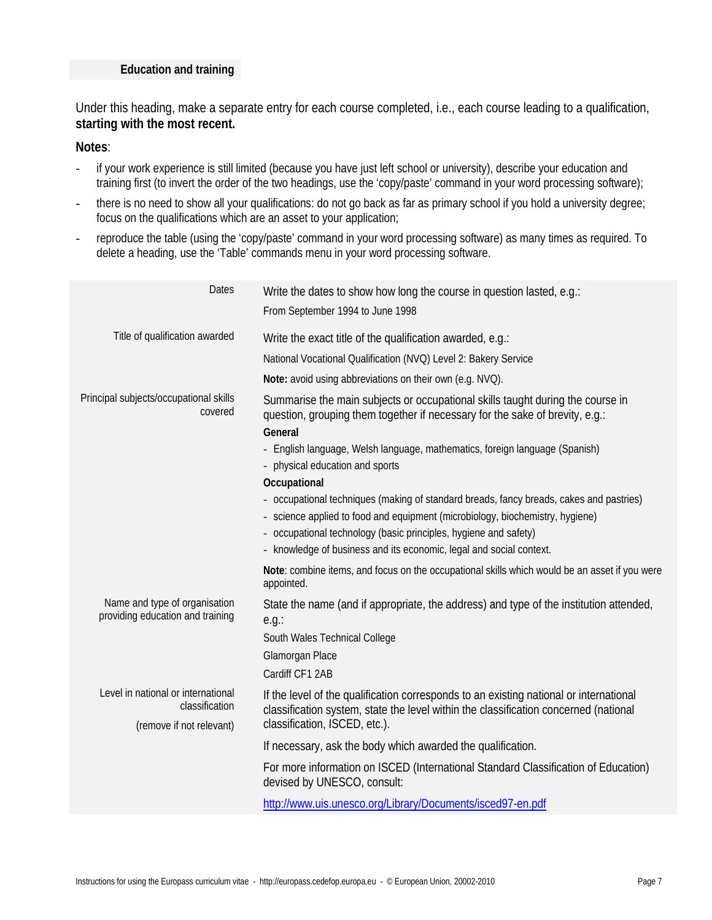#### **Education and training**

Under this heading, make a separate entry for each course completed, i.e., each course leading to a qualification, **starting with the most recent.**

**Notes**:

- if your work experience is still limited (because you have just left school or university), describe your education and training first (to invert the order of the two headings, use the 'copy/paste' command in your word processing software);
- there is no need to show all your qualifications: do not go back as far as primary school if you hold a university degree; focus on the qualifications which are an asset to your application;
- reproduce the table (using the 'copy/paste' command in your word processing software) as many times as required. To delete a heading, use the 'Table' commands menu in your word processing software.

| <b>Dates</b>                                                                     | Write the dates to show how long the course in question lasted, e.g.:<br>From September 1994 to June 1998                                                                                                                                                                                                           |
|----------------------------------------------------------------------------------|---------------------------------------------------------------------------------------------------------------------------------------------------------------------------------------------------------------------------------------------------------------------------------------------------------------------|
| Title of qualification awarded                                                   | Write the exact title of the qualification awarded, e.g.:<br>National Vocational Qualification (NVQ) Level 2: Bakery Service                                                                                                                                                                                        |
|                                                                                  | Note: avoid using abbreviations on their own (e.g. NVQ).                                                                                                                                                                                                                                                            |
| Principal subjects/occupational skills<br>covered                                | Summarise the main subjects or occupational skills taught during the course in<br>question, grouping them together if necessary for the sake of brevity, e.g.:<br>General                                                                                                                                           |
|                                                                                  | - English language, Welsh language, mathematics, foreign language (Spanish)<br>- physical education and sports<br>Occupational                                                                                                                                                                                      |
|                                                                                  | - occupational techniques (making of standard breads, fancy breads, cakes and pastries)<br>- science applied to food and equipment (microbiology, biochemistry, hygiene)<br>- occupational technology (basic principles, hygiene and safety)<br>- knowledge of business and its economic, legal and social context. |
|                                                                                  | Note: combine items, and focus on the occupational skills which would be an asset if you were<br>appointed.                                                                                                                                                                                                         |
| Name and type of organisation<br>providing education and training                | State the name (and if appropriate, the address) and type of the institution attended,<br>$e.g.$ :                                                                                                                                                                                                                  |
|                                                                                  | South Wales Technical College<br>Glamorgan Place<br>Cardiff CF1 2AB                                                                                                                                                                                                                                                 |
| Level in national or international<br>classification<br>(remove if not relevant) | If the level of the qualification corresponds to an existing national or international<br>classification system, state the level within the classification concerned (national<br>classification, ISCED, etc.).                                                                                                     |
|                                                                                  | If necessary, ask the body which awarded the qualification.                                                                                                                                                                                                                                                         |
|                                                                                  | For more information on ISCED (International Standard Classification of Education)<br>devised by UNESCO, consult:                                                                                                                                                                                                   |
|                                                                                  | http://www.uis.unesco.org/Library/Documents/isced97-en.pdf                                                                                                                                                                                                                                                          |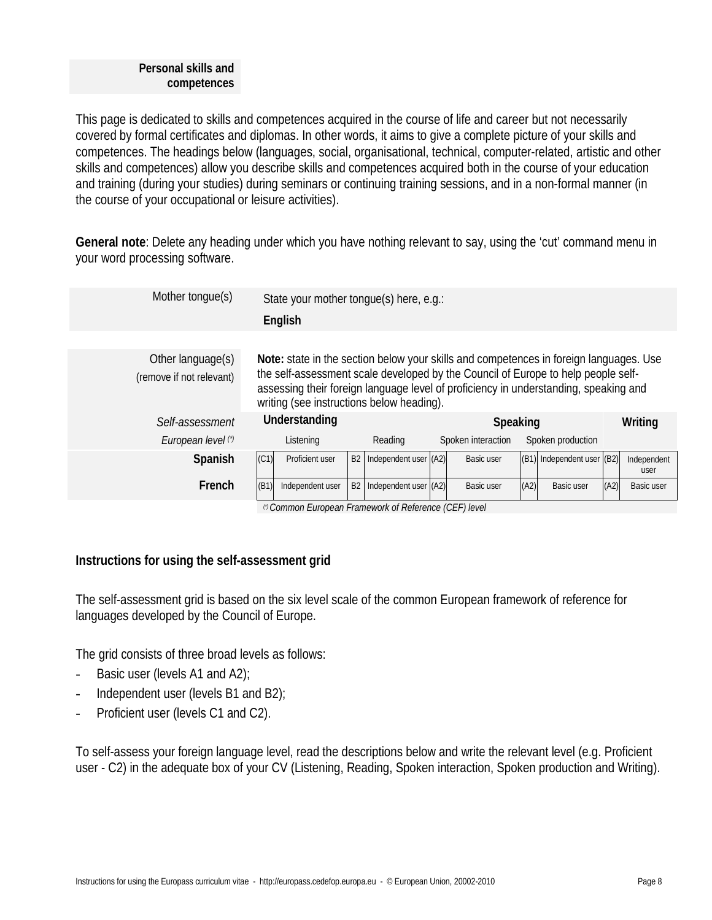### **Personal skills and competences**

This page is dedicated to skills and competences acquired in the course of life and career but not necessarily covered by formal certificates and diplomas. In other words, it aims to give a complete picture of your skills and competences. The headings below (languages, social, organisational, technical, computer-related, artistic and other skills and competences) allow you describe skills and competences acquired both in the course of your education and training (during your studies) during seminars or continuing training sessions, and in a non-formal manner (in the course of your occupational or leisure activities).

**General note**: Delete any heading under which you have nothing relevant to say, using the 'cut' command menu in your word processing software.

| Mother tonque(s)                              | State your mother tongue(s) here, e.g.:   |                                                                            |           |                                                                                                                                                                                                                                                                     |  |                    |      |                            |      |                     |
|-----------------------------------------------|-------------------------------------------|----------------------------------------------------------------------------|-----------|---------------------------------------------------------------------------------------------------------------------------------------------------------------------------------------------------------------------------------------------------------------------|--|--------------------|------|----------------------------|------|---------------------|
|                                               |                                           | English                                                                    |           |                                                                                                                                                                                                                                                                     |  |                    |      |                            |      |                     |
|                                               |                                           |                                                                            |           |                                                                                                                                                                                                                                                                     |  |                    |      |                            |      |                     |
| Other language(s)<br>(remove if not relevant) | writing (see instructions below heading). |                                                                            |           | Note: state in the section below your skills and competences in foreign languages. Use<br>the self-assessment scale developed by the Council of Europe to help people self-<br>assessing their foreign language level of proficiency in understanding, speaking and |  |                    |      |                            |      |                     |
| Self-assessment                               |                                           | Understanding                                                              |           |                                                                                                                                                                                                                                                                     |  | Speaking           |      |                            |      | Writing             |
| European level (*)                            |                                           | Listening                                                                  |           | Reading                                                                                                                                                                                                                                                             |  | Spoken interaction |      | Spoken production          |      |                     |
| Spanish                                       | (C1)                                      | Proficient user                                                            | <b>B2</b> | Independent user (A2)                                                                                                                                                                                                                                               |  | Basic user         |      | (B1) Independent user (B2) |      | Independent<br>user |
| French                                        | (B1)                                      | Independent user<br>(1) Common European Framework of Deference (CEE) level | <b>B2</b> | Independent user (A2)                                                                                                                                                                                                                                               |  | Basic user         | (A2) | Basic user                 | (A2) | Basic user          |

*(\*) Common European Framework of Reference (CEF) level*

## **Instructions for using the self-assessment grid**

The self-assessment grid is based on the six level scale of the common European framework of reference for languages developed by the Council of Europe.

The grid consists of three broad levels as follows:

- Basic user (levels A1 and A2);
- Independent user (levels B1 and B2);
- Proficient user (levels C1 and C2).

To self-assess your foreign language level, read the descriptions below and write the relevant level (e.g. Proficient user - C2) in the adequate box of your CV (Listening, Reading, Spoken interaction, Spoken production and Writing).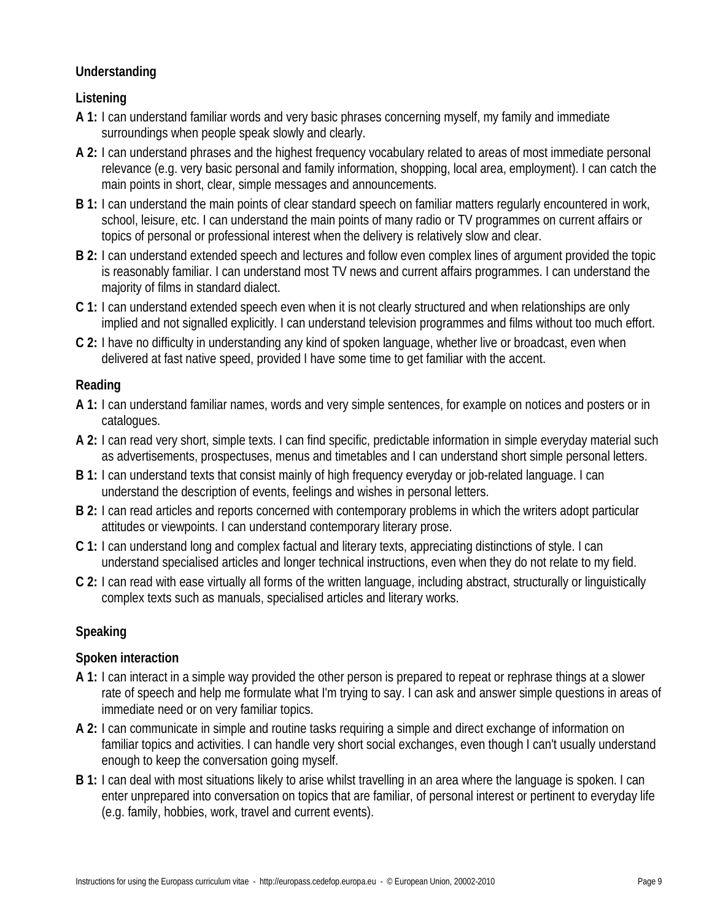# **Understanding**

# **Listening**

- **A 1:** I can understand familiar words and very basic phrases concerning myself, my family and immediate surroundings when people speak slowly and clearly.
- **A 2:** I can understand phrases and the highest frequency vocabulary related to areas of most immediate personal relevance (e.g. very basic personal and family information, shopping, local area, employment). I can catch the main points in short, clear, simple messages and announcements.
- **B 1:** I can understand the main points of clear standard speech on familiar matters regularly encountered in work, school, leisure, etc. I can understand the main points of many radio or TV programmes on current affairs or topics of personal or professional interest when the delivery is relatively slow and clear.
- **B 2:** I can understand extended speech and lectures and follow even complex lines of argument provided the topic is reasonably familiar. I can understand most TV news and current affairs programmes. I can understand the majority of films in standard dialect.
- **C 1:** I can understand extended speech even when it is not clearly structured and when relationships are only implied and not signalled explicitly. I can understand television programmes and films without too much effort.
- **C 2:** I have no difficulty in understanding any kind of spoken language, whether live or broadcast, even when delivered at fast native speed, provided I have some time to get familiar with the accent.

# **Reading**

- **A 1:** I can understand familiar names, words and very simple sentences, for example on notices and posters or in catalogues.
- **A 2:** I can read very short, simple texts. I can find specific, predictable information in simple everyday material such as advertisements, prospectuses, menus and timetables and I can understand short simple personal letters.
- **B 1:** I can understand texts that consist mainly of high frequency everyday or job-related language. I can understand the description of events, feelings and wishes in personal letters.
- **B 2:** I can read articles and reports concerned with contemporary problems in which the writers adopt particular attitudes or viewpoints. I can understand contemporary literary prose.
- **C 1:** I can understand long and complex factual and literary texts, appreciating distinctions of style. I can understand specialised articles and longer technical instructions, even when they do not relate to my field.
- **C 2:** I can read with ease virtually all forms of the written language, including abstract, structurally or linguistically complex texts such as manuals, specialised articles and literary works.

# **Speaking**

# **Spoken interaction**

- **A 1:** I can interact in a simple way provided the other person is prepared to repeat or rephrase things at a slower rate of speech and help me formulate what I'm trying to say. I can ask and answer simple questions in areas of immediate need or on very familiar topics.
- **A 2:** I can communicate in simple and routine tasks requiring a simple and direct exchange of information on familiar topics and activities. I can handle very short social exchanges, even though I can't usually understand enough to keep the conversation going myself.
- **B 1:** I can deal with most situations likely to arise whilst travelling in an area where the language is spoken. I can enter unprepared into conversation on topics that are familiar, of personal interest or pertinent to everyday life (e.g. family, hobbies, work, travel and current events).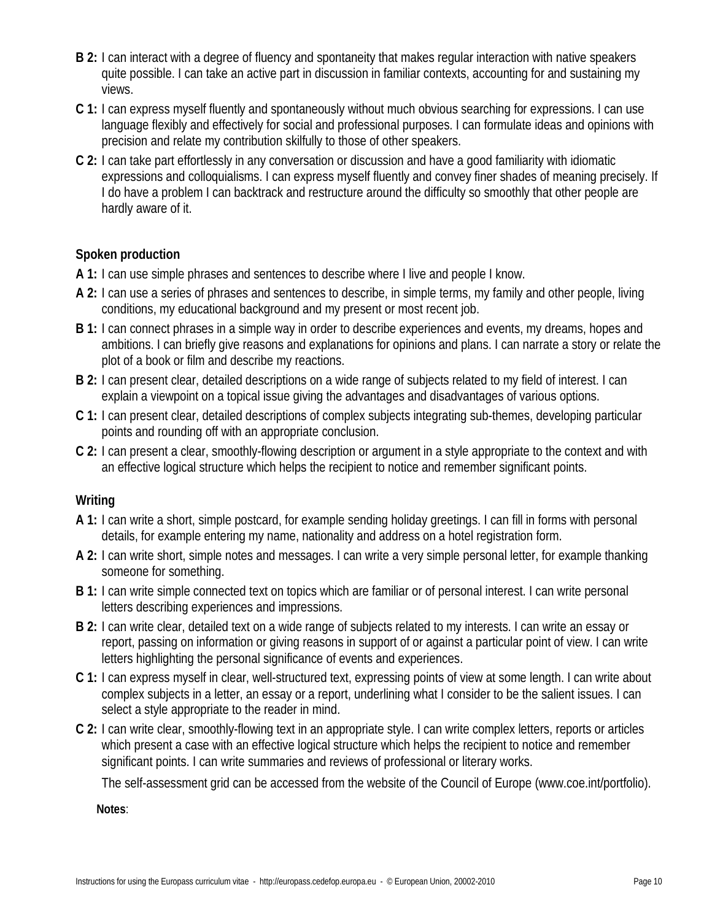- **B 2:** I can interact with a degree of fluency and spontaneity that makes regular interaction with native speakers quite possible. I can take an active part in discussion in familiar contexts, accounting for and sustaining my views.
- **C 1:** I can express myself fluently and spontaneously without much obvious searching for expressions. I can use language flexibly and effectively for social and professional purposes. I can formulate ideas and opinions with precision and relate my contribution skilfully to those of other speakers.
- **C 2:** I can take part effortlessly in any conversation or discussion and have a good familiarity with idiomatic expressions and colloquialisms. I can express myself fluently and convey finer shades of meaning precisely. If I do have a problem I can backtrack and restructure around the difficulty so smoothly that other people are hardly aware of it.

# **Spoken production**

- **A 1:** I can use simple phrases and sentences to describe where I live and people I know.
- **A 2:** I can use a series of phrases and sentences to describe, in simple terms, my family and other people, living conditions, my educational background and my present or most recent job.
- **B 1:** I can connect phrases in a simple way in order to describe experiences and events, my dreams, hopes and ambitions. I can briefly give reasons and explanations for opinions and plans. I can narrate a story or relate the plot of a book or film and describe my reactions.
- **B 2:** I can present clear, detailed descriptions on a wide range of subjects related to my field of interest. I can explain a viewpoint on a topical issue giving the advantages and disadvantages of various options.
- **C 1:** I can present clear, detailed descriptions of complex subjects integrating sub-themes, developing particular points and rounding off with an appropriate conclusion.
- **C 2:** I can present a clear, smoothly-flowing description or argument in a style appropriate to the context and with an effective logical structure which helps the recipient to notice and remember significant points.

# **Writing**

- **A 1:** I can write a short, simple postcard, for example sending holiday greetings. I can fill in forms with personal details, for example entering my name, nationality and address on a hotel registration form.
- **A 2:** I can write short, simple notes and messages. I can write a very simple personal letter, for example thanking someone for something.
- **B 1:** I can write simple connected text on topics which are familiar or of personal interest. I can write personal letters describing experiences and impressions.
- **B 2:** I can write clear, detailed text on a wide range of subjects related to my interests. I can write an essay or report, passing on information or giving reasons in support of or against a particular point of view. I can write letters highlighting the personal significance of events and experiences.
- **C 1:** I can express myself in clear, well-structured text, expressing points of view at some length. I can write about complex subjects in a letter, an essay or a report, underlining what I consider to be the salient issues. I can select a style appropriate to the reader in mind.
- **C 2:** I can write clear, smoothly-flowing text in an appropriate style. I can write complex letters, reports or articles which present a case with an effective logical structure which helps the recipient to notice and remember significant points. I can write summaries and reviews of professional or literary works.

The self-assessment grid can be accessed from the website of the Council of Europe (www.coe.int/portfolio).

**Notes**: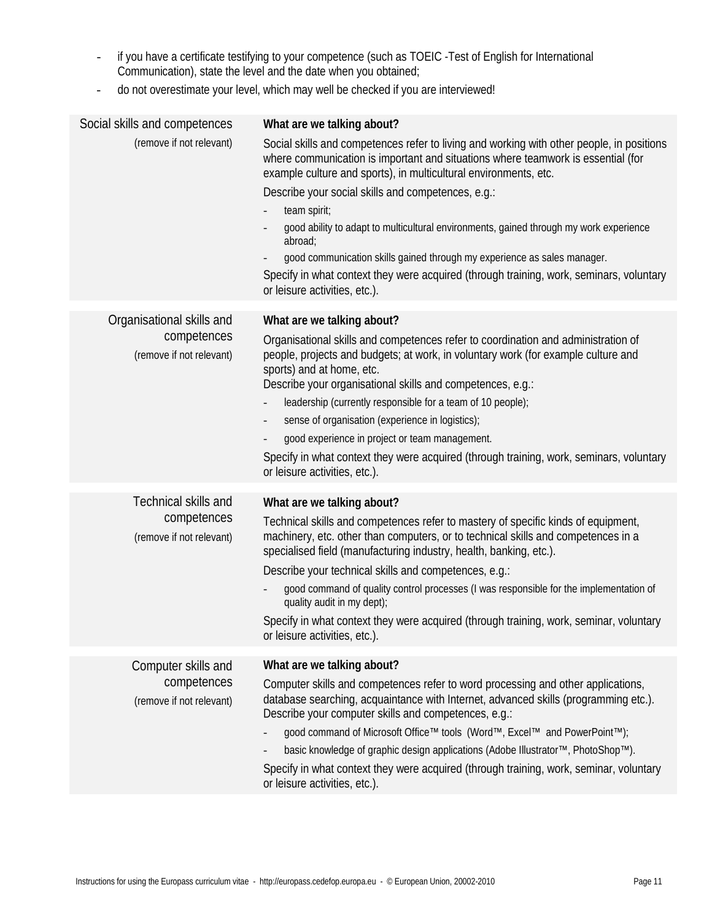- if you have a certificate testifying to your competence (such as TOEIC -Test of English for International Communication), state the level and the date when you obtained;
- do not overestimate your level, which may well be checked if you are interviewed!

| Social skills and competences<br>(remove if not relevant)            | What are we talking about?<br>Social skills and competences refer to living and working with other people, in positions<br>where communication is important and situations where teamwork is essential (for<br>example culture and sports), in multicultural environments, etc.<br>Describe your social skills and competences, e.g.:<br>team spirit;<br>good ability to adapt to multicultural environments, gained through my work experience<br>abroad;<br>good communication skills gained through my experience as sales manager.<br>Specify in what context they were acquired (through training, work, seminars, voluntary<br>or leisure activities, etc.). |
|----------------------------------------------------------------------|--------------------------------------------------------------------------------------------------------------------------------------------------------------------------------------------------------------------------------------------------------------------------------------------------------------------------------------------------------------------------------------------------------------------------------------------------------------------------------------------------------------------------------------------------------------------------------------------------------------------------------------------------------------------|
| Organisational skills and<br>competences<br>(remove if not relevant) | What are we talking about?<br>Organisational skills and competences refer to coordination and administration of<br>people, projects and budgets; at work, in voluntary work (for example culture and<br>sports) and at home, etc.<br>Describe your organisational skills and competences, e.g.:<br>leadership (currently responsible for a team of 10 people);<br>sense of organisation (experience in logistics);<br>$\overline{\phantom{a}}$<br>good experience in project or team management.<br>Specify in what context they were acquired (through training, work, seminars, voluntary<br>or leisure activities, etc.).                                       |
| Technical skills and<br>competences<br>(remove if not relevant)      | What are we talking about?<br>Technical skills and competences refer to mastery of specific kinds of equipment,<br>machinery, etc. other than computers, or to technical skills and competences in a<br>specialised field (manufacturing industry, health, banking, etc.).<br>Describe your technical skills and competences, e.g.:<br>good command of quality control processes (I was responsible for the implementation of<br>quality audit in my dept);<br>Specify in what context they were acquired (through training, work, seminar, voluntary<br>or leisure activities, etc.).                                                                             |
| Computer skills and<br>competences<br>(remove if not relevant)       | What are we talking about?<br>Computer skills and competences refer to word processing and other applications,<br>database searching, acquaintance with Internet, advanced skills (programming etc.).<br>Describe your computer skills and competences, e.g.:<br>good command of Microsoft Office™ tools (Word™, Excel™ and PowerPoint™);<br>basic knowledge of graphic design applications (Adobe Illustrator™, PhotoShop™).<br>Specify in what context they were acquired (through training, work, seminar, voluntary<br>or leisure activities, etc.).                                                                                                           |